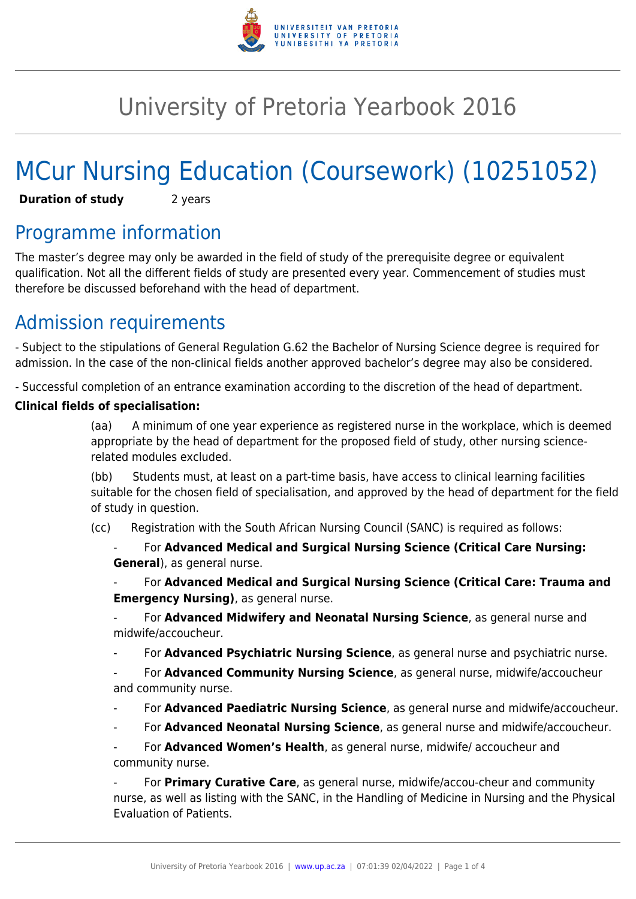

# University of Pretoria Yearbook 2016

# MCur Nursing Education (Coursework) (10251052)

**Duration of study** 2 years

## Programme information

The master's degree may only be awarded in the field of study of the prerequisite degree or equivalent qualification. Not all the different fields of study are presented every year. Commencement of studies must therefore be discussed beforehand with the head of department.

## Admission requirements

- Subject to the stipulations of General Regulation G.62 the Bachelor of Nursing Science degree is required for admission. In the case of the non-clinical fields another approved bachelor's degree may also be considered.

- Successful completion of an entrance examination according to the discretion of the head of department.

#### **Clinical fields of specialisation:**

(aa) A minimum of one year experience as registered nurse in the workplace, which is deemed appropriate by the head of department for the proposed field of study, other nursing sciencerelated modules excluded.

(bb) Students must, at least on a part-time basis, have access to clinical learning facilities suitable for the chosen field of specialisation, and approved by the head of department for the field of study in question.

(cc) Registration with the South African Nursing Council (SANC) is required as follows:

- For **Advanced Medical and Surgical Nursing Science (Critical Care Nursing: General**), as general nurse.

- For **Advanced Medical and Surgical Nursing Science (Critical Care: Trauma and Emergency Nursing)**, as general nurse.

- For **Advanced Midwifery and Neonatal Nursing Science**, as general nurse and midwife/accoucheur.

- For **Advanced Psychiatric Nursing Science**, as general nurse and psychiatric nurse.

- For **Advanced Community Nursing Science**, as general nurse, midwife/accoucheur and community nurse.

- For **Advanced Paediatric Nursing Science**, as general nurse and midwife/accoucheur.
- For **Advanced Neonatal Nursing Science**, as general nurse and midwife/accoucheur.

For **Advanced Women's Health**, as general nurse, midwife/ accoucheur and community nurse.

- For **Primary Curative Care**, as general nurse, midwife/accou-cheur and community nurse, as well as listing with the SANC, in the Handling of Medicine in Nursing and the Physical Evaluation of Patients.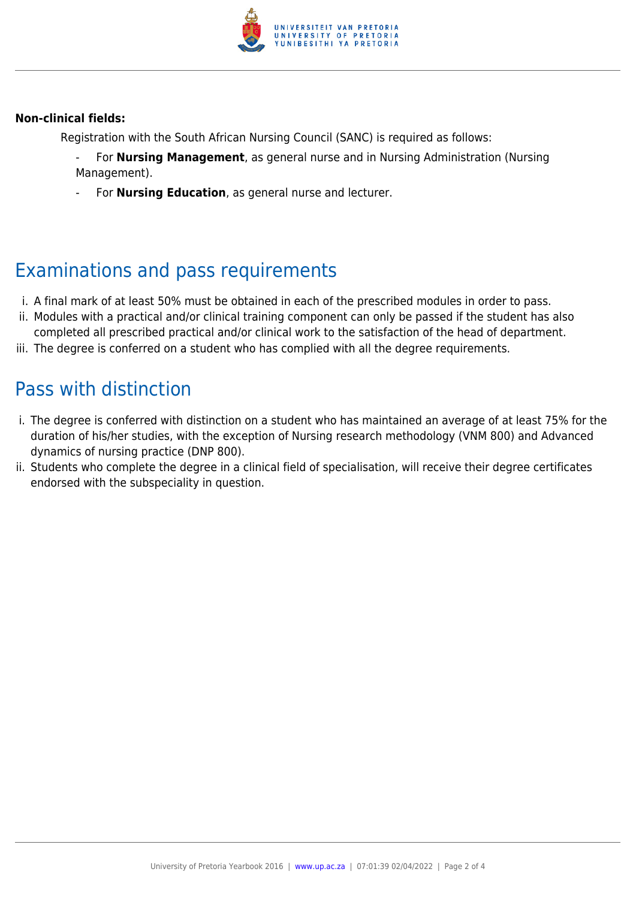

#### **Non-clinical fields:**

Registration with the South African Nursing Council (SANC) is required as follows:

- For **Nursing Management**, as general nurse and in Nursing Administration (Nursing Management).
- For **Nursing Education**, as general nurse and lecturer.

### Examinations and pass requirements

- i. A final mark of at least 50% must be obtained in each of the prescribed modules in order to pass.
- ii. Modules with a practical and/or clinical training component can only be passed if the student has also
- completed all prescribed practical and/or clinical work to the satisfaction of the head of department. iii. The degree is conferred on a student who has complied with all the degree requirements.

#### Pass with distinction

- i. The degree is conferred with distinction on a student who has maintained an average of at least 75% for the duration of his/her studies, with the exception of Nursing research methodology (VNM 800) and Advanced dynamics of nursing practice (DNP 800).
- ii. Students who complete the degree in a clinical field of specialisation, will receive their degree certificates endorsed with the subspeciality in question.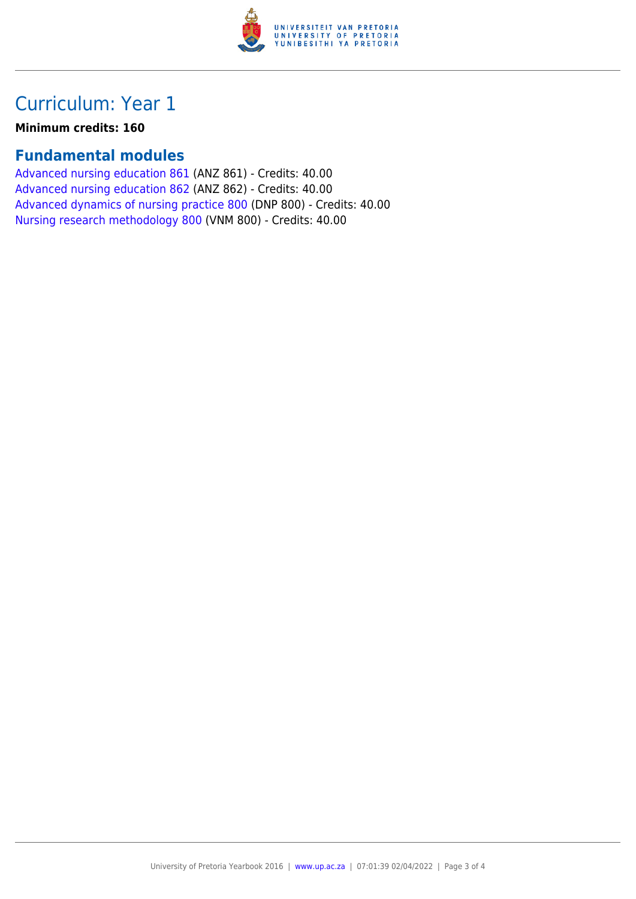

## Curriculum: Year 1

**Minimum credits: 160**

#### **Fundamental modules**

[Advanced nursing education 861](https://www.up.ac.za/faculty-of-education/yearbooks/2016/modules/view/ANZ 861) (ANZ 861) - Credits: 40.00 [Advanced nursing education 862](https://www.up.ac.za/faculty-of-education/yearbooks/2016/modules/view/ANZ 862) (ANZ 862) - Credits: 40.00 [Advanced dynamics of nursing practice 800](https://www.up.ac.za/faculty-of-education/yearbooks/2016/modules/view/DNP 800) (DNP 800) - Credits: 40.00 [Nursing research methodology 800](https://www.up.ac.za/faculty-of-education/yearbooks/2016/modules/view/VNM 800) (VNM 800) - Credits: 40.00